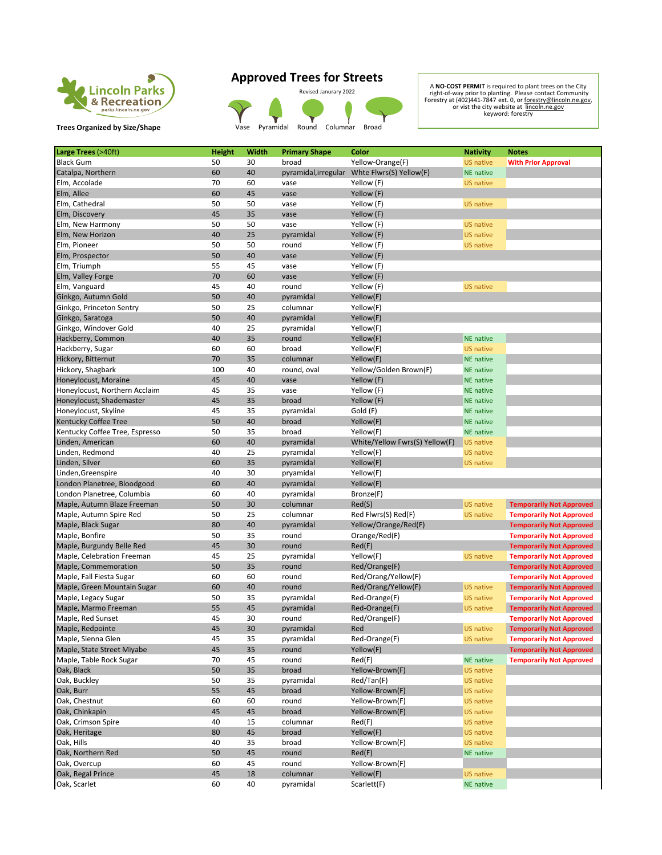

**Trees Organized by Size/Shape Vase Pyramidal Round Columnar Broad** 

## **Approved Trees for Streets**

Revised Janurary 2022<br>
A NO-COST PERMITT is required to plant trees on the City<br>
right-of-way prior to planting. Please contact Community<br>
Forestry at (402)441-7847 ext. 0, or <u>forestry@lincoln.ne.gov</u><br>
or vist the city we

| Large Trees (>40ft)                                   | <b>Height</b> | Width    | <b>Primary Shape</b> | Color                                        | <b>Nativity</b>                      | <b>Notes</b>                    |
|-------------------------------------------------------|---------------|----------|----------------------|----------------------------------------------|--------------------------------------|---------------------------------|
| <b>Black Gum</b>                                      | 50            | 30       | broad                | Yellow-Orange(F)                             | <b>US native</b>                     | <b>With Prior Approval</b>      |
| Catalpa, Northern                                     | 60            | 40       |                      | pyramidal, irregular Whte Flwrs(S) Yellow(F) | <b>NE</b> native                     |                                 |
| Elm, Accolade                                         | 70            | 60       | vase                 | Yellow (F)                                   | <b>US native</b>                     |                                 |
| Elm, Allee                                            | 60            | 45       | vase                 | Yellow (F)                                   |                                      |                                 |
| Elm, Cathedral                                        | 50            | 50       | vase                 | Yellow (F)                                   | <b>US native</b>                     |                                 |
| Elm, Discovery                                        | 45            | 35       | vase                 | Yellow (F)                                   |                                      |                                 |
| Elm, New Harmony                                      | 50            | 50       | vase                 | Yellow (F)                                   | <b>US native</b>                     |                                 |
| Elm, New Horizon                                      | 40            | 25       | pyramidal            | Yellow (F)                                   | <b>US native</b>                     |                                 |
| Elm, Pioneer                                          | 50            | 50       | round                | Yellow (F)                                   | <b>US native</b>                     |                                 |
| Elm, Prospector                                       | 50            | 40       | vase                 | Yellow (F)                                   |                                      |                                 |
| Elm, Triumph                                          | 55            | 45       | vase                 | Yellow (F)                                   |                                      |                                 |
| Elm, Valley Forge                                     | 70            | 60       | vase                 | Yellow (F)                                   |                                      |                                 |
| Elm, Vanguard                                         | 45            | 40       | round                | Yellow (F)                                   | <b>US native</b>                     |                                 |
| Ginkgo, Autumn Gold                                   | 50            | 40       | pyramidal            | Yellow(F)                                    |                                      |                                 |
| Ginkgo, Princeton Sentry                              | 50            | 25       | columnar             | Yellow(F)                                    |                                      |                                 |
| Ginkgo, Saratoga                                      | 50            | 40       | pyramidal            | Yellow(F)                                    |                                      |                                 |
| Ginkgo, Windover Gold                                 | 40            | 25       | pyramidal            | Yellow(F)                                    |                                      |                                 |
| Hackberry, Common                                     | 40            | 35       | round                | Yellow(F)                                    | <b>NE</b> native                     |                                 |
| Hackberry, Sugar                                      | 60            | 60       | broad                | Yellow(F)                                    | <b>US native</b>                     |                                 |
| Hickory, Bitternut                                    | 70            | 35       | columnar             | Yellow(F)                                    | <b>NE</b> native                     |                                 |
| Hickory, Shagbark                                     | 100           | 40       | round, oval          | Yellow/Golden Brown(F)                       | <b>NE</b> native                     |                                 |
| Honeylocust, Moraine                                  | 45            | 40       | vase                 | Yellow (F)                                   | <b>NE</b> native                     |                                 |
| Honeylocust, Northern Acclaim                         | 45            | 35       | vase                 | Yellow (F)                                   | <b>NE</b> native                     |                                 |
| Honeylocust, Shademaster                              | 45            | 35       | broad                | Yellow (F)                                   | <b>NE</b> native                     |                                 |
| Honeylocust, Skyline                                  | 45            | 35       | pyramidal            | Gold (F)                                     | <b>NE</b> native                     |                                 |
| <b>Kentucky Coffee Tree</b>                           | 50            | 40       | broad                | Yellow(F)                                    | <b>NE</b> native                     |                                 |
| Kentucky Coffee Tree, Espresso                        | 50            | 35       | broad                | Yellow(F)                                    | <b>NE</b> native                     |                                 |
| Linden, American                                      | 60            | 40       | pyramidal            | White/Yellow Fwrs(S) Yellow(F)               | <b>US native</b>                     |                                 |
| Linden, Redmond                                       | 40            | 25       | pyramidal            | Yellow(F)                                    | <b>US native</b>                     |                                 |
| Linden, Silver                                        | 60            | 35       | pyramidal            | Yellow(F)                                    | <b>US native</b>                     |                                 |
| Linden, Greenspire                                    | 40            | 30       | pryamidal            | Yellow(F)                                    |                                      |                                 |
| London Planetree, Bloodgood                           | 60            | 40       | pyramidal            | Yellow(F)                                    |                                      |                                 |
| London Planetree, Columbia                            | 60            | 40       | pyramidal            | Bronze(F)                                    |                                      |                                 |
| Maple, Autumn Blaze Freeman                           | 50            | 30       | columnar             | Red(S)                                       | <b>US native</b>                     | <b>Temporarily Not Approved</b> |
| Maple, Autumn Spire Red                               | 50            | 25       | columnar             | Red Flwrs(S) Red(F)                          | <b>US native</b>                     | <b>Temporarily Not Approved</b> |
| Maple, Black Sugar                                    | 80            | 40       | pyramidal            | Yellow/Orange/Red(F)                         |                                      | <b>Temporarily Not Approved</b> |
| Maple, Bonfire                                        | 50            | 35       | round                | Orange/Red(F)                                |                                      | <b>Temporarily Not Approved</b> |
| Maple, Burgundy Belle Red                             | 45            | 30       | round                | Red(F)                                       |                                      | <b>Temporarily Not Approved</b> |
| Maple, Celebration Freeman                            | 45            | 25       | pyramidal            | Yellow(F)                                    | <b>US native</b>                     | <b>Temporarily Not Approved</b> |
| Maple, Commemoration                                  | 50            | 35       | round                | Red/Orange(F)                                |                                      | <b>Temporarily Not Approved</b> |
| Maple, Fall Fiesta Sugar                              | 60            | 60       | round                | Red/Orang/Yellow(F)                          |                                      | <b>Temporarily Not Approved</b> |
| Maple, Green Mountain Sugar                           | 60            | 40       | round                | Red/Orang/Yellow(F)                          | <b>US native</b>                     | <b>Temporarily Not Approved</b> |
| Maple, Legacy Sugar                                   | 50            | 35       | pyramidal            | Red-Orange(F)                                | <b>US native</b>                     | <b>Temporarily Not Approved</b> |
| Maple, Marmo Freeman                                  | 55            | 45       | pyramidal            | Red-Orange(F)                                | <b>US native</b>                     | <b>Temporarily Not Approved</b> |
| Maple, Red Sunset                                     | 45            | 30       | round                | Red/Orange(F)                                |                                      | <b>Temporarily Not Approved</b> |
| Maple, Redpointe                                      | 45            | 30       | pyramidal            | Red                                          | US native                            | <b>Temporarily Not Approved</b> |
| Maple, Sienna Glen                                    | 45            | 35       | pyramidal            | Red-Orange(F)                                | US native                            | <b>Temporarily Not Approved</b> |
| Maple, State Street Miyabe<br>Maple, Table Rock Sugar | 45            | 35       | round                | Yellow(F)                                    | <b>NE</b> native                     | <b>Temporarily Not Approved</b> |
|                                                       | 70            | 45       | round                | Red(F)                                       |                                      | <b>Temporarily Not Approved</b> |
| Oak, Black<br>Oak, Buckley                            | 50<br>50      | 35<br>35 | broad<br>pyramidal   | Yellow-Brown(F)<br>Red/Tan(F)                | <b>US native</b>                     |                                 |
| Oak, Burr                                             | 55            | 45       | broad                | Yellow-Brown(F)                              | US native<br><b>US native</b>        |                                 |
|                                                       |               |          |                      |                                              |                                      |                                 |
| Oak, Chestnut<br>Oak, Chinkapin                       | 60<br>45      | 60<br>45 | round<br>broad       | Yellow-Brown(F)<br>Yellow-Brown(F)           | <b>US native</b><br><b>US native</b> |                                 |
| Oak, Crimson Spire                                    | 40            |          | columnar             | Red(F)                                       | <b>US native</b>                     |                                 |
| Oak, Heritage                                         | 80            | 15<br>45 | broad                | Yellow(F)                                    | <b>US native</b>                     |                                 |
| Oak, Hills                                            | 40            | 35       | broad                | Yellow-Brown(F)                              | <b>US native</b>                     |                                 |
| Oak, Northern Red                                     | 50            | 45       | round                | Red(F)                                       | <b>NE native</b>                     |                                 |
| Oak, Overcup                                          | 60            | 45       | round                | Yellow-Brown(F)                              |                                      |                                 |
| Oak, Regal Prince                                     | 45            | 18       | columnar             | Yellow(F)                                    | <b>US native</b>                     |                                 |
| Oak, Scarlet                                          | 60            | 40       | pyramidal            | Scarlett(F)                                  | <b>NE</b> native                     |                                 |
|                                                       |               |          |                      |                                              |                                      |                                 |